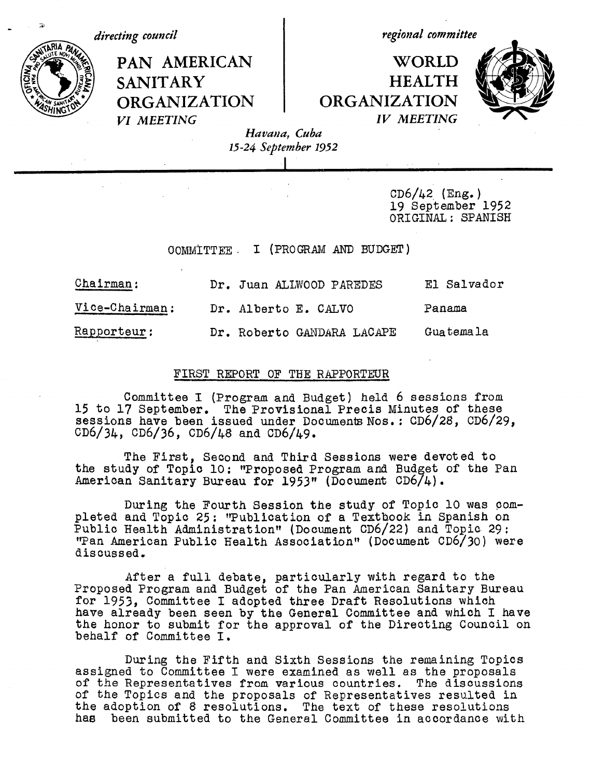i,

*directing council*  $\qquad \qquad \qquad$  regional committee

# PAN AMERICAN | WORLD SANITARY | HEALTH **ORGANIZATION** ORGANIZATION<br>*VI MEETING IV MEETING*



*VI MEETING Havana, Cuba 15-24 September 1952*

> $CD6/42$  (Eng.) 19 September 1952 ORIGINAL: SPANISH

COMMITTEE. I (PROGRAM AND BUDGET)

I

| Chairman:      | Dr. Juan ALLWOOD PAREDES   | El Salvador |
|----------------|----------------------------|-------------|
| Vice-Chairman: | Dr. Alberto E. CALVO       | Panama      |
| Rapporteur :   | Dr. Roberto GANDARA LACAPE | Guatemala   |

#### FIRST REPORT OF THE RAPPORTEUR

Committee I (Program and Budget) held 6 sessions from 15 to 17 September. The Provisional Precis Minutes of these sessions have been issued under Documents Nos.: CD6/28, CD6/29, CD6/34, CD6/36, CD6/48 and CD6/49.

The First, Second and Third Sessions were devoted to the study of Topic 10: "Proposed Program and Budget of the Pan American Sanitary Bureau for 1953" (Document CD6/4).

During the Fourth Session the study of Topic 10 was completed and Topic 25: "Publication of a Textbook in Spanish on Public Health Administration" (Document CD6/22) and Topic 29: 'Tan American Public Health Association" (Document CD6/30) were discussed.

After a full debate, particularly with regard to the Proposed Program and Budget of the Pan American Sanitary Bureau for 1953, Committee I adopted three Draft Resolutions which have already been seen by the General Committee and which I have the honor to submit for the approval of the Directing Council on behalf of Committee I.

During the Fifth and Sixth Sessions the remaining Topics assigned to Committee I were examined as well as the proposals of the Representatives from various countries. The discussions of the Topics and the proposals of Representatives resulted in the adoption of 8 resolutions. The text of these resolutions has been submitted to the General Committee in accordance with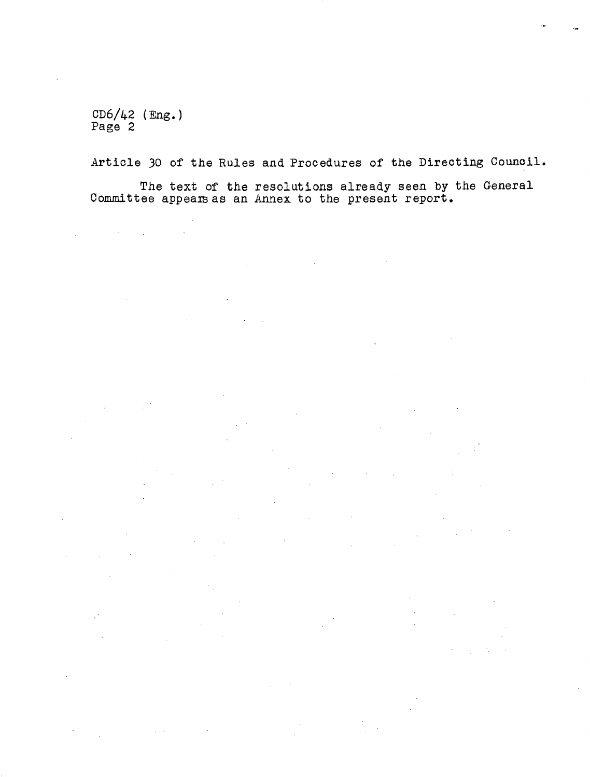CD6/42 (Eng.) Page 2

 $\mathcal{L}_{\mathcal{A}}$  and  $\mathcal{L}_{\mathcal{A}}$  are the set of the set of the set of  $\mathcal{A}$ 

 $\sim 10^7$ 

 $\sim 10^{-11}$ 

 $\mathcal{L}_{\mathcal{A}}$ 

 $\hat{\mathcal{F}}$ 

 $\mathcal{L}_{\mathcal{A}}$ 

 $\mathcal{L}_{\mathcal{A}}$ 

 $\sim$ 

 $\mathbb{R}^2$ 

Article 30 of the Rules and Procedures of the Directing Council.

The text of the resolutions already seen by the General Committee appears as an Annex to the present report.

 $\sim 10^{-11}$ 

 $\mathbb{R}^2$ 

 $\mathcal{L}^{(k)}$ 

 $\mathcal{L}^{\text{max}}$ 

 $\langle \sigma_{\rm{L}} \rangle$  $\sim$   $\sim$ 

 $\mathcal{L}(\mathcal{A})$  .

 $\mathcal{L}_{\mathcal{A}}$ 

 $\mathcal{L}^{\mathcal{L}}(\mathcal{L}^{\mathcal{L}})$  and  $\mathcal{L}^{\mathcal{L}}(\mathcal{L}^{\mathcal{L}})$  and  $\mathcal{L}^{\mathcal{L}}(\mathcal{L}^{\mathcal{L}})$  . Then

 $\mathcal{A}(\mathcal{A})$  and  $\mathcal{A}(\mathcal{A})$  are  $\mathcal{A}(\mathcal{A})$  . Then, if  $\mathcal{A}(\mathcal{A})$ 

 $\frac{1}{2} \left( \frac{1}{2} \right)$ 

 $\mathcal{L}$ 

 $\sim 10^{-12}$ 

 $\mathcal{L}^{\mathcal{L}}$ 

 $\mathcal{L}_{\mathcal{A}}$ 

 $\sqrt{1-\lambda^2}$ 

 $\sim 10^7$ 

 $\mathcal{O}(\mathcal{O}_\mathcal{O})$  . The contribution of the set of the set of the  $\mathcal{O}(\mathcal{O})$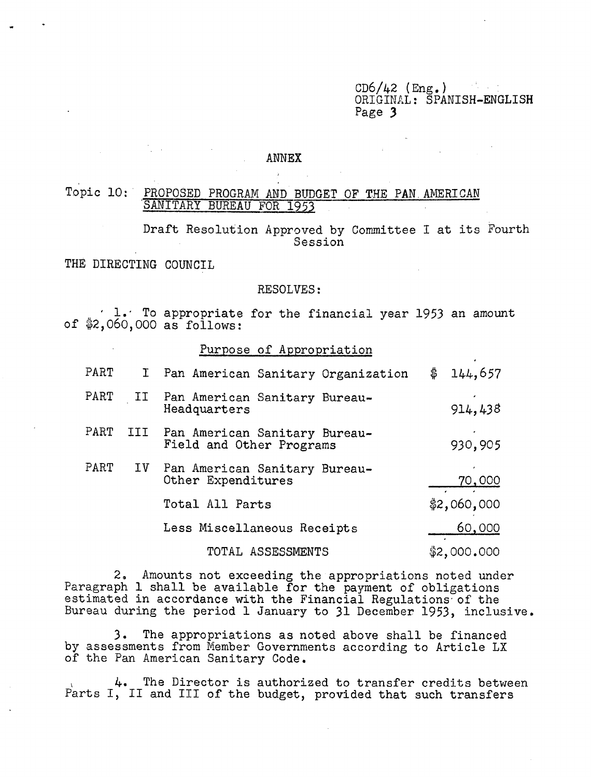$CD6/42$  (Eng.) ORIGINAL: SPANISH-ENGLISH Page 3

#### ANNEX

ý.

Topic 10: PROPOSED PROGRAM AND BUDGET OF THE PAN AMERICAN SANITARY BUREAU FOR 1953

> Draft Resolution Approved by Committee I at its Fourth Session

THE DIRECTING COUNCIL

 $\frac{1}{2} \left( \frac{1}{2} \right) \left( \frac{1}{2} \right) \left( \frac{1}{2} \right) \left( \frac{1}{2} \right) \left( \frac{1}{2} \right) \left( \frac{1}{2} \right) \left( \frac{1}{2} \right)$ 

## RESOLVES:

1.' To appropriate for the financial year 1953 an amount of \$2,060,000 as follows:

#### Purpose of Appropriation

| $\mathtt{PART}$ | $\mathbf{I}^-$              | Pan American Sanitary Organization                        | \$ | 144,657       |
|-----------------|-----------------------------|-----------------------------------------------------------|----|---------------|
| $\mathtt{PART}$ | II                          | Pan American Sanitary Bureau-<br>Headquarters             |    | 914,438       |
| $\mathtt{PART}$ | III.                        | Pan American Sanitary Bureau-<br>Field and Other Programs |    | 930,905       |
| PART            | IV                          | Pan American Sanitary Bureau-<br>Other Expenditures       |    | <u>70,000</u> |
|                 |                             | Total All Parts                                           |    | \$2,060,000   |
|                 | Less Miscellaneous Receipts |                                                           |    | 60,000        |
|                 |                             | TOTAL ASSESSMENTS                                         |    | \$2,000.000   |

2, Amounts not exceeding the appropriations noted under Paragraph 1 shall be available for the payment of obligations estimated in accordance with the Financial Regulations of the Bureau during the period 1 January to 31 December 1953, inclusive.

3. The appropriations as noted above shall be financed by assessments from Member Governments according to Article LX of the Pan American Sanitary Code.

4. The Director is authorized to transfer credits between Parts I, II and III of the budget, provided that such transfers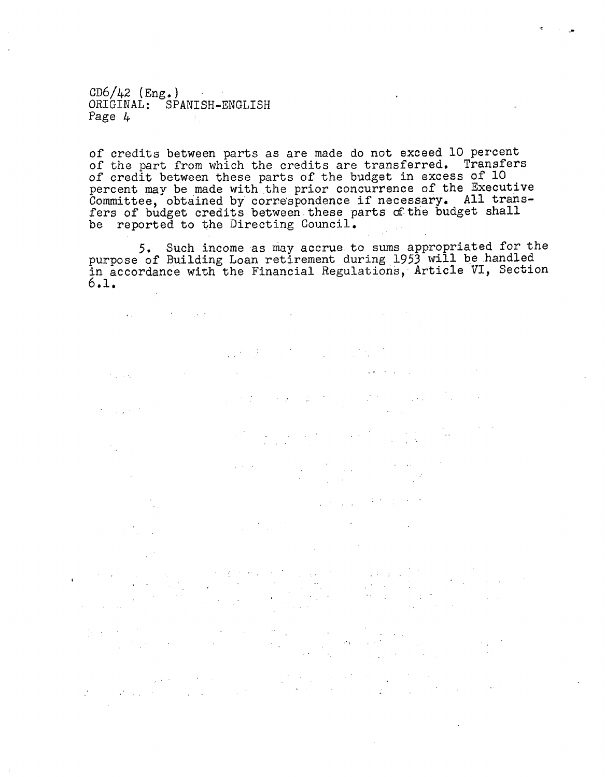CD6/42 (Eng.) ORIGINAL: SPANISH-ENGLISH Page 4

 $\frac{1}{2}$  ,  $\frac{1}{2}$  ,  $\frac{1}{2}$  ,  $\frac{1}{2}$ 

 $\sim$  .

of credits between parts as are made do not exceed 10 percent of the part from which the credits are transferred. Transfers of credit between these parts of the budget in excess of 10 percent may be made with the prior concurrence of the Executive Committee, obtained by correspondence if necessary. All transfers of budget credits between these parts of the budget shall be reported to the Directing Council.

5. Such income as may accrue to sums appropriated for the purpose of Building Loan retirement during 1953 will be handled in accordance with the Financial Regulations, Article VI, Section 6.1.

 $\label{eq:2.1} \begin{split} \mathcal{L}_{\text{max}}(\mathbf{r},\mathbf{r}) = \mathcal{L}_{\text{max}}(\mathbf{r},\mathbf{r}) \,,\\ \mathcal{L}_{\text{max}}(\mathbf{r},\mathbf{r}) = \mathcal{L}_{\text{max}}(\mathbf{r},\mathbf{r}) \,, \end{split}$ 

 $\mathcal{L}_{\text{max}}$  and  $\mathcal{L}_{\text{max}}$  and  $\mathcal{L}_{\text{max}}$  and  $\mathcal{L}_{\text{max}}$ 

 $\label{eq:2} \mathcal{L} = \mathcal{L} \left( \mathcal{L} \right) \mathcal{L} \left( \mathcal{L} \right)$ 

 $\label{eq:2.1} \frac{1}{\sqrt{2\pi}}\frac{1}{\sqrt{2\pi}}\frac{1}{\sqrt{2\pi}}\frac{1}{\sqrt{2\pi}}\frac{1}{\sqrt{2\pi}}\frac{1}{\sqrt{2\pi}}\frac{1}{\sqrt{2\pi}}\frac{1}{\sqrt{2\pi}}\frac{1}{\sqrt{2\pi}}\frac{1}{\sqrt{2\pi}}\frac{1}{\sqrt{2\pi}}\frac{1}{\sqrt{2\pi}}\frac{1}{\sqrt{2\pi}}\frac{1}{\sqrt{2\pi}}\frac{1}{\sqrt{2\pi}}\frac{1}{\sqrt{2\pi}}\frac{1}{\sqrt{2\pi}}\frac{1}{\sqrt$ 

 $\label{eq:2.1} \frac{1}{2}\int_{\mathbb{R}^2} \left|\nabla \phi(x) \right|^2 \, dx \, \mathrm{d}x = \int_{\mathbb{R}^2} \left|\nabla \phi(x) \right|^2 \, dx \, \mathrm{d}x = \int_{\mathbb{R}^2} \left|\nabla \phi(x) \right|^2 \, dx \, \mathrm{d}x.$ 

 $\Delta\phi$  and the state of the state of the state of the state of the state of the state of the state of the state of the state of the state of the state of the state of the state of the state of the state of the state of th

 $\label{eq:2.1} \mathcal{E}(\mathcal{H}) = \mathcal{E}(\mathcal{E}(\mathcal{H})) = \mathcal{E}(\mathcal{E}(\mathcal{H})) = \mathcal{E}(\mathcal{E}(\mathcal{H}))$ 

 $\label{eq:2.1} \frac{1}{\sqrt{2\pi}}\left(\frac{1}{\sqrt{2\pi}}\right)^2\frac{1}{\sqrt{2\pi}}\left(\frac{1}{\sqrt{2\pi}}\right)^2\frac{1}{\sqrt{2\pi}}\left(\frac{1}{\sqrt{2\pi}}\right)^2\frac{1}{\sqrt{2\pi}}\left(\frac{1}{\sqrt{2\pi}}\right)^2\frac{1}{\sqrt{2\pi}}\left(\frac{1}{\sqrt{2\pi}}\right)^2\frac{1}{\sqrt{2\pi}}\frac{1}{\sqrt{2\pi}}\frac{1}{\sqrt{2\pi}}\frac{1}{\sqrt{2\pi}}\frac{1}{\sqrt{2\pi}}\$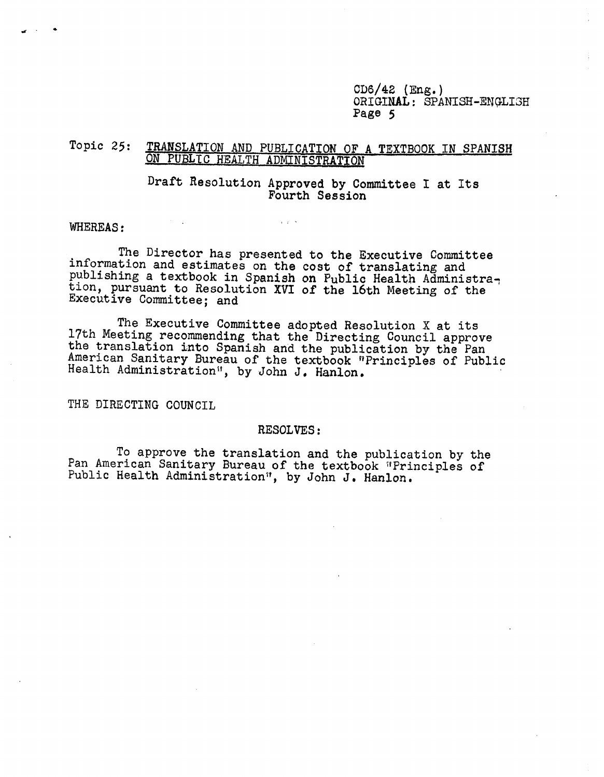CD6/42 (Eng.) ORIGINAL: SPANISH-ENGLI3H Page 5

# Topic 25: TRANSLATION AND PUBLICATION OF A TEXTBOOK IN SPANISH ON PUBLIC HEALTH ADMINISTRATION

Draft Resolution Approved by Committee I at Its Fourth Session

#### WHEREAS:

The Director has presented to the Executive Committee<br>information and estimates on the cost of translating and<br>publishing a textbook in Spanish on Public Health Administra-<br>tion, pursuant to Resolution XVI of the 16th Meet

 $\chi$  ,  $\chi$  ,  $\chi$ 

The Executive Committee adopted Resolution X at its<br>17th Meeting recommending that the Directing Council approve<br>the translation into Spanish and the publication by the Pan<br>American Sanitary Bureau of the textbook "Princip

THE DIRECTING COUNCIL

#### RESOLVES:

To approve the translation and the publication by the Pan American Sanitary Bureau of the textbook 'Principles of Public Health Administration", by John J. Hanlon.